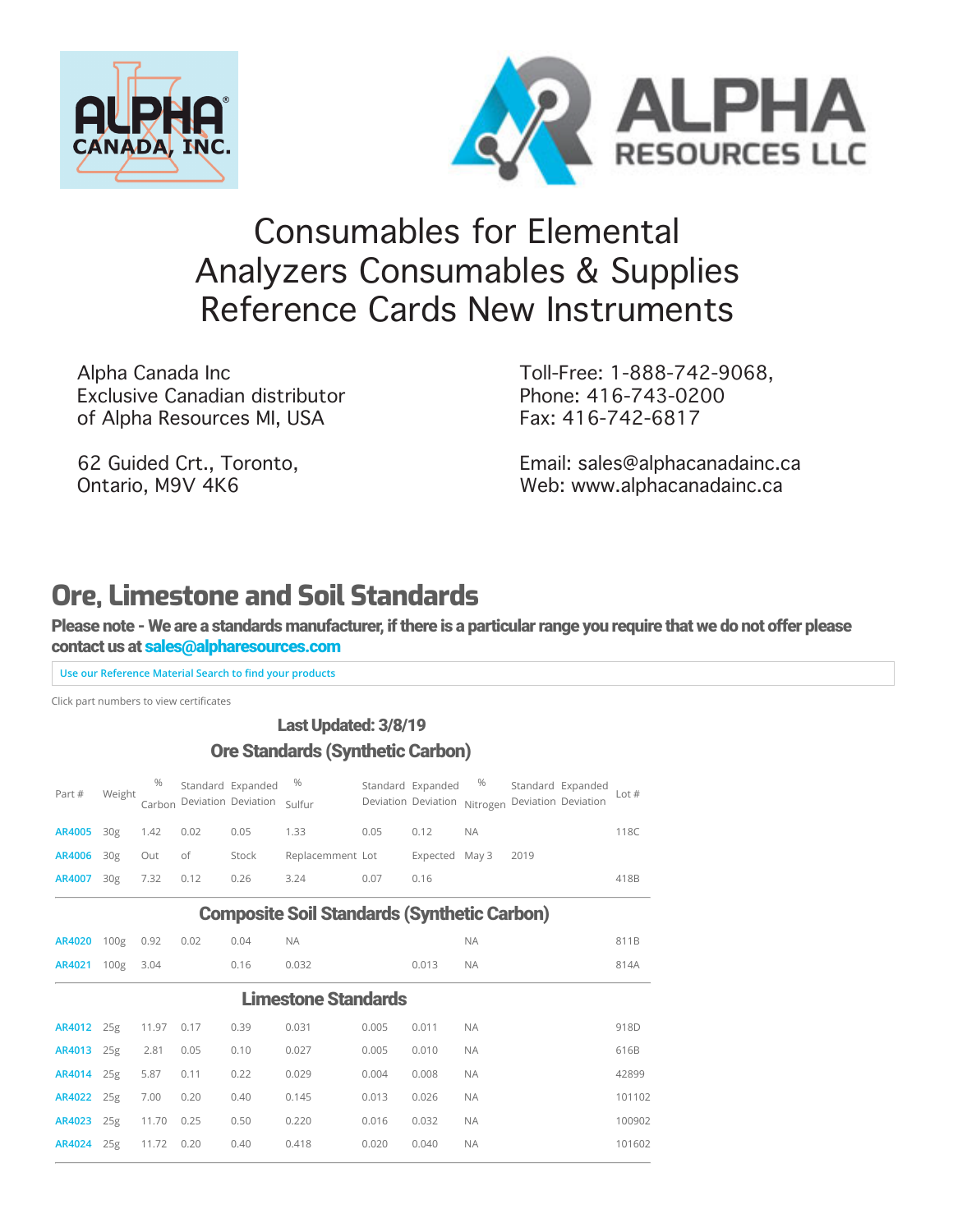



# [Co](https://www.alpharesources.com/eltra_chnos_analyzers.php)[nsumables](https://www.alpharesources.com/gerhardtvelp.php) [for](https://www.alpharesources.com/horiba.php) [Ele](https://www.alpharesources.com/leco-quick-cards.php)[men](https://www.alpharesources.com/literature.php)[tal](https://www.alpharesources.com/current-list-of-standards.php)  [Ana](https://www.alpharesources.com/elementar.php)lyzers Consumables & Supplies Reference Cards New Instruments

Alpha Canada Inc Exclusive Canadian distributor of Alpha Resources MI, USA

62 Guided Crt., Toronto, Ontario, M9V 4K6

Toll-Free: 1-888-742-9068, Phone: 416-743-0200 Fax: 416-742-6817

[Email: sales@alphacanadainc.ca](https://www.alpharesources.com/advanced_search.php) [Web: www.alphacanadainc.ca](https://www.alpharesources.com/advanced_matrix_search.php)

# **Ore, Limestone and Soil Standards**

Please note - We are a standards manufacturer, if there is a particular range you require that we do not offer please contact us at [sales@alpharesources.com](mailto:Sales@alpharesources.com?subject=Standard%20Request)

**Use our Reference Material Search to find your products** 

Click part numbers to view certificates

#### Last Updated: 3/8/19 Ore Standards (Synthetic Carbon)

| Part #               | Weight |           |              | <sup>%</sup> Standard Expanded <sup>%</sup><br>Carbon Deviation Deviation Sulfur |                  |      | Deviation Deviation Nitrogen Deviation Deviation |           | Standard Expanded $\frac{96}{2}$ Standard Expanded Lot # |      |
|----------------------|--------|-----------|--------------|----------------------------------------------------------------------------------|------------------|------|--------------------------------------------------|-----------|----------------------------------------------------------|------|
| AR4005 30g 1.42 0.02 |        |           |              | $0.05$ 1.33                                                                      |                  | 0.05 | 0.12                                             | <b>NA</b> |                                                          | 118C |
| AR4006 30g           |        |           | Out of Stock |                                                                                  | Replacemment Lot |      | Expected May 3 2019                              |           |                                                          |      |
| AR4007               | 30g    | 7.32 0.12 |              | 0.26                                                                             | 3.24             | 0.07 | 0.16                                             |           |                                                          | 418B |

#### Composite Soil Standards (Synthetic Carbon)

| AR4020     | 100 <sub>g</sub> | 0.92  | 0.02 | 0.04 | <b>NA</b>           |       |       | <b>NA</b> | 811B   |
|------------|------------------|-------|------|------|---------------------|-------|-------|-----------|--------|
| AR4021     | 100 <sub>g</sub> | 3.04  |      | 0.16 | 0.032               |       | 0.013 | <b>NA</b> | 814A   |
|            |                  |       |      |      | Limestone Standards |       |       |           |        |
| AR4012 25g |                  | 11.97 | 0.17 | 0.39 | 0.031               | 0.005 | 0.011 | <b>NA</b> | 918D   |
| AR4013 25g |                  | 2.81  | 0.05 | 0.10 | 0.027               | 0.005 | 0.010 | <b>NA</b> | 616B   |
| AR4014 25g |                  | 5.87  | 0.11 | 0.22 | 0.029               | 0.004 | 0.008 | <b>NA</b> | 42899  |
| AR4022 25g |                  | 7.00  | 0.20 | 0.40 | 0.145               | 0.013 | 0.026 | <b>NA</b> | 101102 |
| AR4023     | 25g              | 11.70 | 0.25 | 0.50 | 0.220               | 0.016 | 0.032 | <b>NA</b> | 100902 |
| AR4024     | 25g              | 11.72 | 0.20 | 0.40 | 0.418               | 0.020 | 0.040 | <b>NA</b> | 101602 |
|            |                  |       |      |      |                     |       |       |           |        |